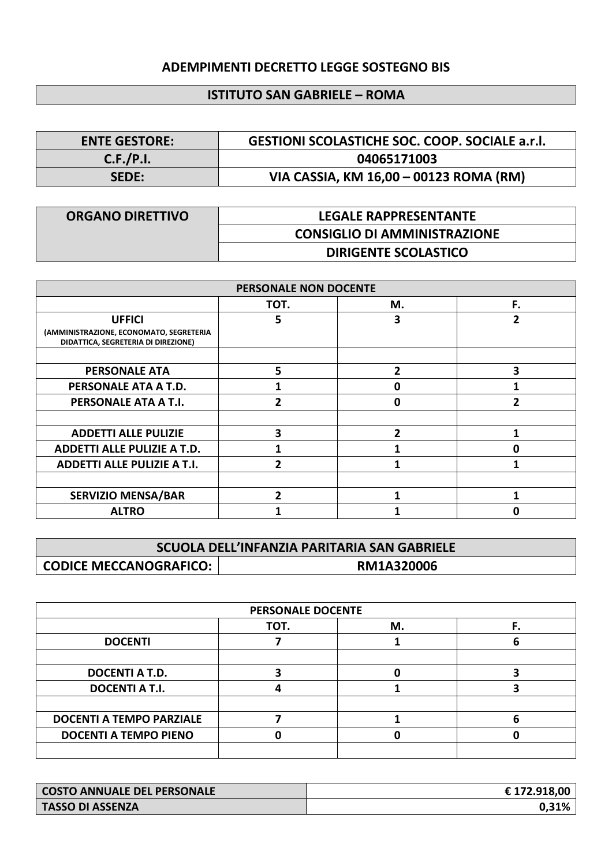## **ADEMPIMENTI DECRETTO LEGGE SOSTEGNO BIS**

## **ISTITUTO SAN GABRIELE – ROMA**

| <b>ENTE GESTORE:</b> | <b>GESTIONI SCOLASTICHE SOC. COOP. SOCIALE a.r.l.</b> |
|----------------------|-------------------------------------------------------|
| C.F./P.I.            | 04065171003                                           |
| <b>SEDE:</b>         | VIA CASSIA, KM 16,00 - 00123 ROMA (RM)                |

| <b>ORGANO DIRETTIVO</b> | <b>LEGALE RAPPRESENTANTE</b>        |  |  |
|-------------------------|-------------------------------------|--|--|
|                         | <b>CONSIGLIO DI AMMINISTRAZIONE</b> |  |  |
|                         | <b>DIRIGENTE SCOLASTICO</b>         |  |  |

| PERSONALE NON DOCENTE                                                                           |      |    |    |
|-------------------------------------------------------------------------------------------------|------|----|----|
|                                                                                                 | TOT. | М. | F. |
| <b>UFFICI</b><br>(AMMINISTRAZIONE, ECONOMATO, SEGRETERIA<br>DIDATTICA, SEGRETERIA DI DIREZIONE) | 5    | 3  | 2  |
| <b>PERSONALE ATA</b>                                                                            | 5    | 2  | 3  |
| PERSONALE ATA A T.D.                                                                            |      | Λ  |    |
| PERSONALE ATA A T.I.                                                                            |      | 0  |    |
|                                                                                                 |      |    |    |
| <b>ADDETTI ALLE PULIZIE</b>                                                                     | 3    | 2  |    |
| <b>ADDETTI ALLE PULIZIE A T.D.</b>                                                              |      |    | ŋ  |
| <b>ADDETTI ALLE PULIZIE A T.I.</b>                                                              |      |    |    |
|                                                                                                 |      |    |    |
| <b>SERVIZIO MENSA/BAR</b>                                                                       |      |    |    |
| <b>ALTRO</b>                                                                                    |      |    |    |

| SCUOLA DELL'INFANZIA PARITARIA SAN GABRIELE |  |
|---------------------------------------------|--|
| RM1A320006                                  |  |

| <b>PERSONALE DOCENTE</b>        |      |    |  |
|---------------------------------|------|----|--|
|                                 | TOT. | M. |  |
| <b>DOCENTI</b>                  |      |    |  |
|                                 |      |    |  |
| <b>DOCENTI A T.D.</b>           |      |    |  |
| <b>DOCENTI A T.I.</b>           |      |    |  |
|                                 |      |    |  |
| <b>DOCENTI A TEMPO PARZIALE</b> |      |    |  |
| <b>DOCENTI A TEMPO PIENO</b>    |      |    |  |
|                                 |      |    |  |

| COSTO ANNUALE DEL PERSONALE | € 172.918,00 |
|-----------------------------|--------------|
| <b>TASSO DI ASSENZA</b>     |              |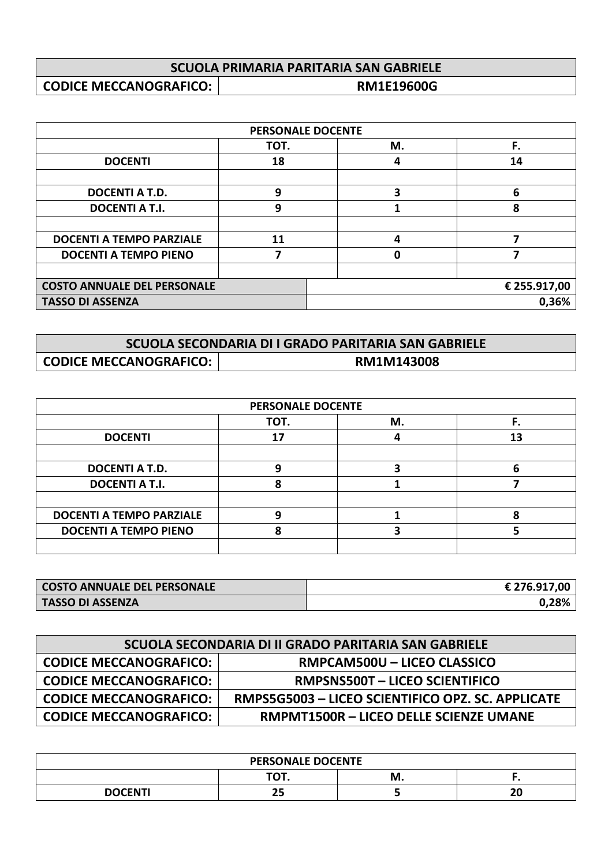| SCUOLA PRIMARIA PARITARIA SAN GABRIELE |                   |
|----------------------------------------|-------------------|
| <b>CODICE MECCANOGRAFICO:</b>          | <b>RM1E19600G</b> |

| <b>PERSONALE DOCENTE</b>           |      |    |              |
|------------------------------------|------|----|--------------|
|                                    | TOT. | М. | F.           |
| <b>DOCENTI</b>                     | 18   | Δ  | 14           |
|                                    |      |    |              |
| <b>DOCENTI A T.D.</b>              | 9    | 3  | 6            |
| <b>DOCENTI A T.I.</b>              | 9    |    | 8            |
|                                    |      |    |              |
| <b>DOCENTI A TEMPO PARZIALE</b>    | 11   |    |              |
| <b>DOCENTI A TEMPO PIENO</b>       |      |    |              |
|                                    |      |    |              |
| <b>COSTO ANNUALE DEL PERSONALE</b> |      |    | € 255.917,00 |
| <b>TASSO DI ASSENZA</b>            |      |    | 0,36%        |

| SCUOLA SECONDARIA DI I GRADO PARITARIA SAN GABRIELE |            |  |
|-----------------------------------------------------|------------|--|
| <b>CODICE MECCANOGRAFICO:</b>                       | RM1M143008 |  |

| <b>PERSONALE DOCENTE</b>        |      |    |    |
|---------------------------------|------|----|----|
|                                 | TOT. | М. | F. |
| <b>DOCENTI</b>                  | 17   |    | 13 |
|                                 |      |    |    |
| <b>DOCENTI A T.D.</b>           |      |    |    |
| <b>DOCENTI A T.I.</b>           |      |    |    |
|                                 |      |    |    |
| <b>DOCENTI A TEMPO PARZIALE</b> |      |    |    |
| <b>DOCENTI A TEMPO PIENO</b>    |      |    |    |
|                                 |      |    |    |

| <b>COSTO ANNUALE DEL PERSONALE</b> | € 276.917,00 |
|------------------------------------|--------------|
| <b>TASSO DI ASSENZA</b>            | 0.28%        |

| SCUOLA SECONDARIA DI II GRADO PARITARIA SAN GABRIELE |                                                   |  |
|------------------------------------------------------|---------------------------------------------------|--|
| <b>CODICE MECCANOGRAFICO:</b>                        | RMPCAM500U - LICEO CLASSICO                       |  |
| <b>CODICE MECCANOGRAFICO:</b>                        | <b>RMPSNS500T - LICEO SCIENTIFICO</b>             |  |
| <b>CODICE MECCANOGRAFICO:</b>                        | RMPS5G5003 - LICEO SCIENTIFICO OPZ. SC. APPLICATE |  |
| <b>CODICE MECCANOGRAFICO:</b>                        | <b>RMPMT1500R - LICEO DELLE SCIENZE UMANE</b>     |  |

| <b>PERSONALE DOCENTE</b> |          |    |          |  |
|--------------------------|----------|----|----------|--|
|                          | тот      | м. |          |  |
| <b>DOCENTI</b>           | -г<br>-- |    | 70<br>Zu |  |